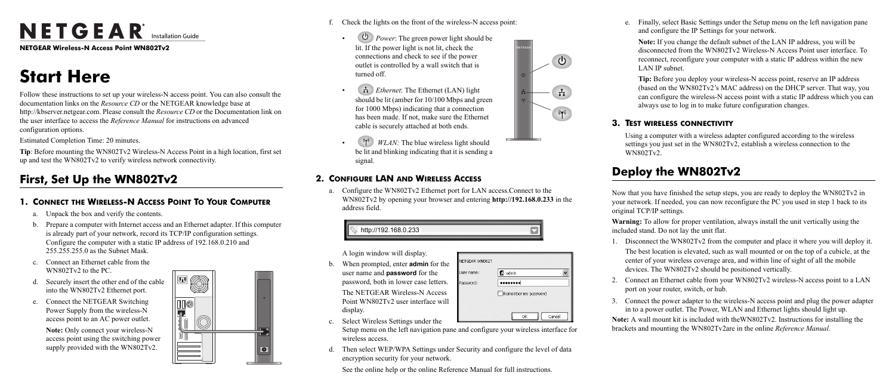# NETGEAR<sup>®</sup> Installation Guide

**NETGEAR Wireless-N Access Point WN802Tv2**

## **Start Here**

Follow these instructions to set up your wireless-N access point. You can also consult the documentation links on the *Resource CD* or the NETGEAR knowledge base at http://kbserver.netgear.com. Please consult the *Resource CD* or the Documentation link on the user interface to access the *Reference Manual* for instructions on advanced configuration options.

Estimated Completion Time: 20 minutes.

**Tip**: Before mounting the WN802Tv2 Wireless-N Access Point in a high location, first set up and test the WN802Tv2 to verify wireless network connectivity.

### **First, Set Up the WN802Tv2**

### **1. CONNECT THE WIRELESS-N ACCESS POINT TO YOUR COMPUTER**

- a. Unpack the box and verify the contents.
- b. Prepare a computer with Internet access and an Ethernet adapter. If this computer is already part of your network, record its TCP/IP configuration settings. Configure the computer with a static IP address of 192.168.0.210 and 255.255.255.0 as the Subnet Mask.
- c. Connect an Ethernet cable from the WN802Tv2 to the PC.
- d. Securely insert the other end of the cable into the WN802Tv2 Ethernet port.
- e. Connect the NETGEAR Switching Power Supply from the wireless-N access point to an AC power outlet.

**Note:** Only connect your wireless-N access point using the switching power supply provided with the WN802Tv2.



- f. Check the lights on the front of the wireless-N access point:
	- $\circ$  *Power*: The green power light should be lit. If the power light is not lit, check the connections and check to see if the power outlet is controlled by a wall switch that is turned off.
	- *Ethernet:* The Ethernet (LAN) light should be lit (amber for 10/100 Mbps and green for 1000 Mbps) indicating that a connection has been made. If not, make sure the Ethernet cable is securely attached at both ends.
	- *WLAN:* The blue wireless light should be lit and blinking indicating that it is sending a signal.

### **2. CONFIGURE LAN AND WIRELESS ACCESS**

a. Configure the WN802Tv2 Ethernet port for LAN access.Connect to the WN802Tv2 by opening your browser and entering **http://192.168.0.233** in the address field.

A login window will display.

- b. When prompted, enter **admin** for the user name and **password** for the password, both in lower case letters. The NETGEAR Wireless-N Access Point WN802Tv2 user interface will display.
- c. Select Wireless Settings under the



**VETGEAR WN802T** 

Jser name:

assword:

**Q** admin

 $| \bullet \bullet \bullet \bullet \bullet \bullet \bullet \bullet |$ 

Remember my password

d. Then select WEP/WPA Settings under Security and configure the level of data encryption security for your network.

See the online help or the online Reference Manual for full instructions.





e. Finally, select Basic Settings under the Setup menu on the left navigation pane and configure the IP Settings for your network.

**Note:** If you change the default subnet of the LAN IP address, you will be disconnected from the WN802Tv2 Wireless-N Access Point user interface. To reconnect, reconfigure your computer with a static IP address within the new LAN IP subnet.

**Tip:** Before you deploy your wireless-N access point, reserve an IP address (based on the WN802Tv2's MAC address) on the DHCP server. That way, you can configure the wireless-N access point with a static IP address which you can always use to log in to make future configuration changes.

#### **3. TEST WIRELESS CONNECTIVITY**

Using a computer with a wireless adapter configured according to the wireless settings you just set in the WN802Tv2, establish a wireless connection to the WN802Tv2.

### **Deploy the WN802Tv2**

Now that you have finished the setup steps, you are ready to deploy the WN802Tv2 in your network. If needed, you can now reconfigure the PC you used in step 1 back to its

original TCP/IP settings.

**Warning:** To allow for proper ventilation, always install the unit vertically using the included stand. Do not lay the unit flat.

- 
- 
- 

1. Disconnect the WN802Tv2 from the computer and place it where you will deploy it. The best location is elevated, such as wall mounted or on the top of a cubicle, at the center of your wireless coverage area, and within line of sight of all the mobile devices. The WN802Tv2 should be positioned vertically.

2. Connect an Ethernet cable from your WN802Tv2 wireless-N access point to a LAN port on your router, switch, or hub.

3. Connect the power adapter to the wireless-N access point and plug the power adapter in to a power outlet. The Power, WLAN and Ethernet lights should light up. **Note:** A wall mount kit is included with theWN802Tv2. Instructions for installing the brackets and mounting the WN802Tv2are in the online *Reference Manual*.